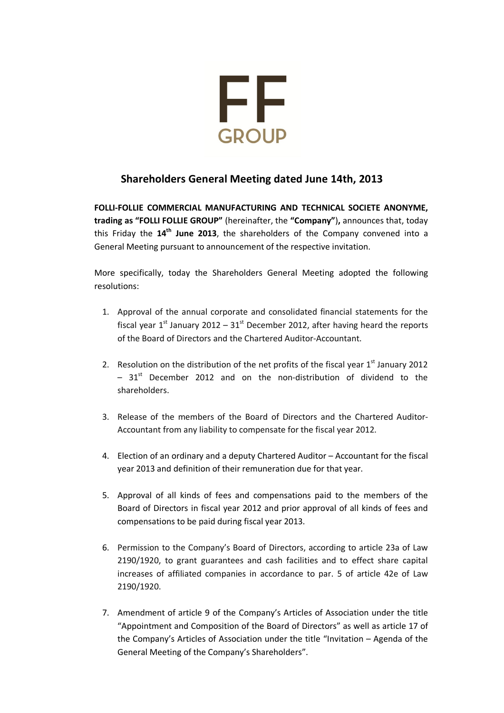

# **Shareholders General Μeeting dated June 14th, 2013**

**FOLLI-FOLLIE COMMERCIAL MANUFACTURING AND TECHNICAL SOCIETE ANONYME, trading as "FOLLI FOLLIE GROUP"** (hereinafter, the **"Company"**)**,** announces that, today this Friday the **14th June 2013**, the shareholders of the Company convened into a General Meeting pursuant to announcement of the respective invitation.

More specifically, today the Shareholders General Meeting adopted the following resolutions:

- 1. Approval of the annual corporate and consolidated financial statements for the fiscal year  $1<sup>st</sup>$  January 2012 –  $31<sup>st</sup>$  December 2012, after having heard the reports of the Board of Directors and the Chartered Auditor-Accountant.
- 2. Resolution on the distribution of the net profits of the fiscal year  $1<sup>st</sup>$  January 2012  $-31$ <sup>st</sup> December 2012 and on the non-distribution of dividend to the shareholders.
- 3. Release of the members of the Board of Directors and the Chartered Auditor-Accountant from any liability to compensate for the fiscal year 2012.
- 4. Election of an ordinary and a deputy Chartered Auditor Accountant for the fiscal year 2013 and definition of their remuneration due for that year.
- 5. Approval of all kinds of fees and compensations paid to the members of the Board of Directors in fiscal year 2012 and prior approval of all kinds of fees and compensations to be paid during fiscal year 2013.
- 6. Permission to the Company's Board of Directors, according to article 23a of Law 2190/1920, to grant guarantees and cash facilities and to effect share capital increases of affiliated companies in accordance to par. 5 of article 42e of Law 2190/1920.
- 7. Amendment of article 9 of the Company's Articles of Association under the title "Appointment and Composition of the Board of Directors" as well as article 17 of the Company's Articles of Association under the title "Invitation – Agenda of the General Meeting of the Company's Shareholders".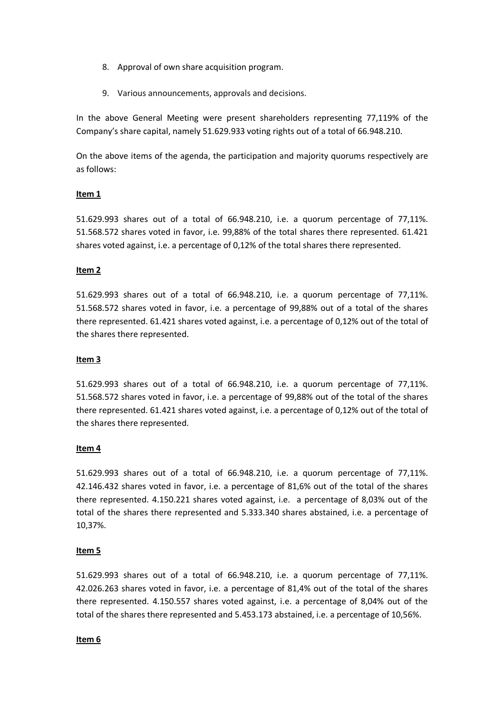- 8. Approval of own share acquisition program.
- 9. Various announcements, approvals and decisions.

In the above General Meeting were present shareholders representing 77,119% of the Company's share capital, namely 51.629.933 voting rights out of a total of 66.948.210.

On the above items of the agenda, the participation and majority quorums respectively are as follows:

### **Item 1**

51.629.993 shares out of a total of 66.948.210, i.e. a quorum percentage of 77,11%. 51.568.572 shares voted in favor, i.e. 99,88% of the total shares there represented. 61.421 shares voted against, i.e. a percentage of 0,12% of the total shares there represented.

#### **Item 2**

51.629.993 shares out of a total of 66.948.210, i.e. a quorum percentage of 77,11%. 51.568.572 shares voted in favor, i.e. a percentage of 99,88% out of a total of the shares there represented. 61.421 shares voted against, i.e. a percentage of 0,12% out of the total of the shares there represented.

#### **Item 3**

51.629.993 shares out of a total of 66.948.210, i.e. a quorum percentage of 77,11%. 51.568.572 shares voted in favor, i.e. a percentage of 99,88% out of the total of the shares there represented. 61.421 shares voted against, i.e. a percentage of 0,12% out of the total of the shares there represented.

#### **Item 4**

51.629.993 shares out of a total of 66.948.210, i.e. a quorum percentage of 77,11%. 42.146.432 shares voted in favor, i.e. a percentage of 81,6% out of the total of the shares there represented. 4.150.221 shares voted against, i.e. a percentage of 8,03% out of the total of the shares there represented and 5.333.340 shares abstained, i.e. a percentage of 10,37%.

#### **Item 5**

51.629.993 shares out of a total of 66.948.210, i.e. a quorum percentage of 77,11%. 42.026.263 shares voted in favor, i.e. a percentage of 81,4% out of the total of the shares there represented. 4.150.557 shares voted against, i.e. a percentage of 8,04% out of the total of the shares there represented and 5.453.173 abstained, i.e. a percentage of 10,56%.

#### **Item 6**